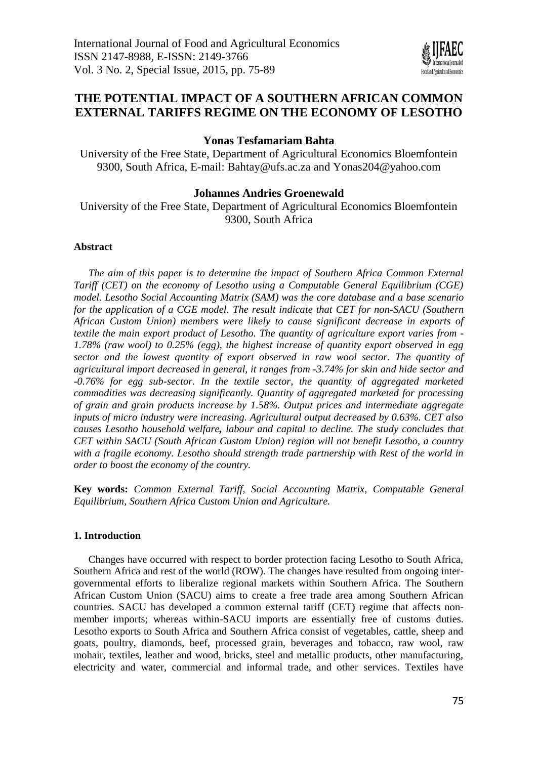

# **THE POTENTIAL IMPACT OF A SOUTHERN AFRICAN COMMON EXTERNAL TARIFFS REGIME ON THE ECONOMY OF LESOTHO**

# **Yonas Tesfamariam Bahta**

University of the Free State, Department of Agricultural Economics Bloemfontein 9300, South Africa, E-mail: [Bahtay@ufs.ac.za](mailto:Bahtay@ufs.ac.za) and [Yonas204@yahoo.com](mailto:Yonas204@yahoo.com)

# **Johannes Andries Groenewald**

University of the Free State, Department of Agricultural Economics Bloemfontein 9300, South Africa

# **Abstract**

*The aim of this paper is to determine the impact of Southern Africa Common External Tariff (CET) on the economy of Lesotho using a Computable General Equilibrium (CGE) model. Lesotho Social Accounting Matrix (SAM) was the core database and a base scenario for the application of a CGE model. The result indicate that CET for non-SACU (Southern African Custom Union) members were likely to cause significant decrease in exports of textile the main export product of Lesotho. The quantity of agriculture export varies from - 1.78% (raw wool) to 0.25% (egg), the highest increase of quantity export observed in egg sector and the lowest quantity of export observed in raw wool sector. The quantity of agricultural import decreased in general, it ranges from -3.74% for skin and hide sector and -0.76% for egg sub-sector. In the textile sector, the quantity of aggregated marketed commodities was decreasing significantly. Quantity of aggregated marketed for processing of grain and grain products increase by 1.58%. Output prices and intermediate aggregate inputs of micro industry were increasing. Agricultural output decreased by 0.63%. CET also causes Lesotho household welfare, labour and capital to decline. The study concludes that CET within SACU (South African Custom Union) region will not benefit Lesotho, a country with a fragile economy. Lesotho should strength trade partnership with Rest of the world in order to boost the economy of the country.* 

**Key words:** *Common External Tariff, Social Accounting Matrix, Computable General Equilibrium, Southern Africa Custom Union and Agriculture.*

### **1. Introduction**

Changes have occurred with respect to border protection facing Lesotho to South Africa, Southern Africa and rest of the world (ROW). The changes have resulted from ongoing intergovernmental efforts to liberalize regional markets within Southern Africa. The Southern African Custom Union (SACU) aims to create a free trade area among Southern African countries. SACU has developed a common external tariff (CET) regime that affects nonmember imports; whereas within-SACU imports are essentially free of customs duties. Lesotho exports to South Africa and Southern Africa consist of vegetables, cattle, sheep and goats, poultry, diamonds, beef, processed grain, beverages and tobacco, raw wool, raw mohair, textiles, leather and wood, bricks, steel and metallic products, other manufacturing, electricity and water, commercial and informal trade, and other services. Textiles have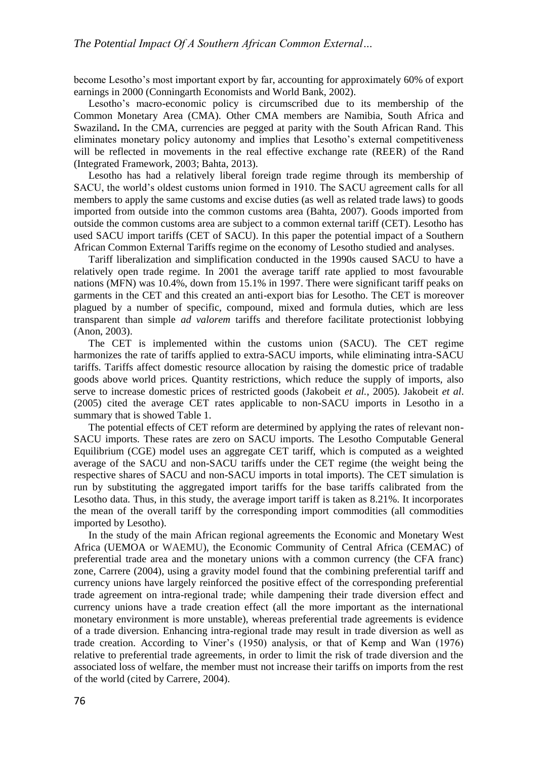become Lesotho's most important export by far, accounting for approximately 60% of export earnings in 2000 (Conningarth Economists and World Bank, 2002).

Lesotho's macro-economic policy is circumscribed due to its membership of the Common Monetary Area (CMA). Other CMA members are Namibia, South Africa and Swaziland. In the CMA, currencies are pegged at parity with the South African Rand. This eliminates monetary policy autonomy and implies that Lesotho's external competitiveness will be reflected in movements in the real effective exchange rate (REER) of the Rand (Integrated Framework, 2003; Bahta, 2013).

Lesotho has had a relatively liberal foreign trade regime through its membership of SACU, the world's oldest customs union formed in 1910. The SACU agreement calls for all members to apply the same customs and excise duties (as well as related trade laws) to goods imported from outside into the common customs area (Bahta, 2007). Goods imported from outside the common customs area are subject to a common external tariff (CET). Lesotho has used SACU import tariffs (CET of SACU). In this paper the potential impact of a Southern African Common External Tariffs regime on the economy of Lesotho studied and analyses.

Tariff liberalization and simplification conducted in the 1990s caused SACU to have a relatively open trade regime. In 2001 the average tariff rate applied to most favourable nations (MFN) was 10.4%, down from 15.1% in 1997. There were significant tariff peaks on garments in the CET and this created an anti-export bias for Lesotho. The CET is moreover plagued by a number of specific, compound, mixed and formula duties, which are less transparent than simple *ad valorem* tariffs and therefore facilitate protectionist lobbying (Anon, 2003).

The CET is implemented within the customs union (SACU). The CET regime harmonizes the rate of tariffs applied to extra-SACU imports, while eliminating intra-SACU tariffs. Tariffs affect domestic resource allocation by raising the domestic price of tradable goods above world prices. Quantity restrictions, which reduce the supply of imports, also serve to increase domestic prices of restricted goods (Jakobeit *et al.*, 2005). Jakobeit *et al*. (2005) cited the average CET rates applicable to non-SACU imports in Lesotho in a summary that is showed Table 1.

The potential effects of CET reform are determined by applying the rates of relevant non-SACU imports. These rates are zero on SACU imports. The Lesotho Computable General Equilibrium (CGE) model uses an aggregate CET tariff, which is computed as a weighted average of the SACU and non-SACU tariffs under the CET regime (the weight being the respective shares of SACU and non-SACU imports in total imports). The CET simulation is run by substituting the aggregated import tariffs for the base tariffs calibrated from the Lesotho data. Thus, in this study, the average import tariff is taken as 8.21%. It incorporates the mean of the overall tariff by the corresponding import commodities (all commodities imported by Lesotho).

In the study of the main African regional agreements the Economic and Monetary West Africa (UEMOA or WAEMU), the Economic Community of Central Africa (CEMAC) of preferential trade area and the monetary unions with a common currency (the CFA franc) zone, Carrere (2004), using a gravity model found that the combining preferential tariff and currency unions have largely reinforced the positive effect of the corresponding preferential trade agreement on intra-regional trade; while dampening their trade diversion effect and currency unions have a trade creation effect (all the more important as the international monetary environment is more unstable), whereas preferential trade agreements is evidence of a trade diversion. Enhancing intra-regional trade may result in trade diversion as well as trade creation. According to Viner's (1950) analysis, or that of Kemp and Wan (1976) relative to preferential trade agreements, in order to limit the risk of trade diversion and the associated loss of welfare, the member must not increase their tariffs on imports from the rest of the world (cited by Carrere, 2004).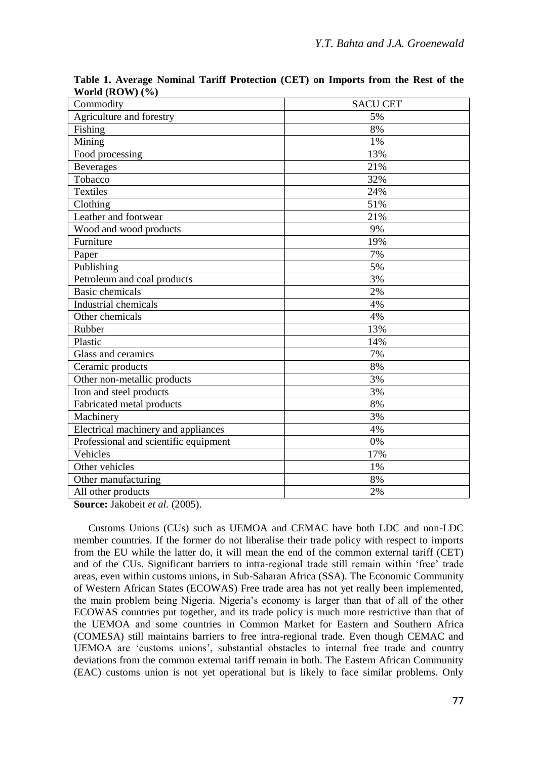| Commodity                             | <b>SACU CET</b> |
|---------------------------------------|-----------------|
| Agriculture and forestry              | 5%              |
| Fishing                               | 8%              |
| Mining                                | 1%              |
| Food processing                       | 13%             |
| <b>Beverages</b>                      | 21%             |
| Tobacco                               | 32%             |
| <b>Textiles</b>                       | 24%             |
| Clothing                              | 51%             |
| Leather and footwear                  | 21%             |
| Wood and wood products                | 9%              |
| Furniture                             | 19%             |
| Paper                                 | 7%              |
| Publishing                            | 5%              |
| Petroleum and coal products           | 3%              |
| <b>Basic chemicals</b>                | 2%              |
| <b>Industrial chemicals</b>           | 4%              |
| Other chemicals                       | 4%              |
| Rubber                                | 13%             |
| Plastic                               | 14%             |
| Glass and ceramics                    | 7%              |
| Ceramic products                      | 8%              |
| Other non-metallic products           | 3%              |
| Iron and steel products               | 3%              |
| Fabricated metal products             | 8%              |
| Machinery                             | 3%              |
| Electrical machinery and appliances   | 4%              |
| Professional and scientific equipment | 0%              |
| Vehicles                              | 17%             |
| Other vehicles                        | 1%              |
| Other manufacturing                   | 8%              |
| All other products                    | 2%              |
|                                       |                 |

**Table 1. Average Nominal Tariff Protection (CET) on Imports from the Rest of the World (ROW) (%)**

**Source:** Jakobeit *et al.* (2005).

Customs Unions (CUs) such as UEMOA and CEMAC have both LDC and non-LDC member countries. If the former do not liberalise their trade policy with respect to imports from the EU while the latter do, it will mean the end of the common external tariff (CET) and of the CUs. Significant barriers to intra-regional trade still remain within 'free' trade areas, even within customs unions, in Sub-Saharan Africa (SSA). The Economic Community of Western African States (ECOWAS) Free trade area has not yet really been implemented, the main problem being Nigeria. Nigeria's economy is larger than that of all of the other ECOWAS countries put together, and its trade policy is much more restrictive than that of the UEMOA and some countries in Common Market for Eastern and Southern Africa (COMESA) still maintains barriers to free intra-regional trade. Even though CEMAC and UEMOA are 'customs unions', substantial obstacles to internal free trade and country deviations from the common external tariff remain in both. The Eastern African Community (EAC) customs union is not yet operational but is likely to face similar problems. Only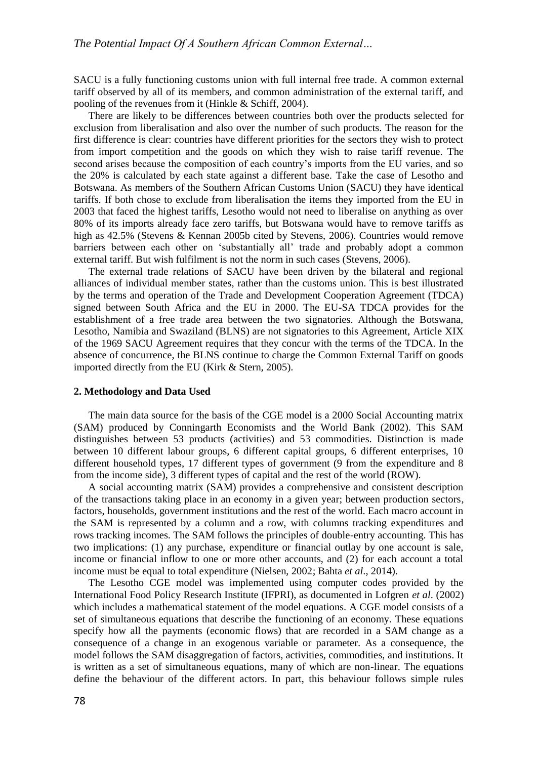SACU is a fully functioning customs union with full internal free trade. A common external tariff observed by all of its members, and common administration of the external tariff, and pooling of the revenues from it (Hinkle & Schiff, 2004).

There are likely to be differences between countries both over the products selected for exclusion from liberalisation and also over the number of such products. The reason for the first difference is clear: countries have different priorities for the sectors they wish to protect from import competition and the goods on which they wish to raise tariff revenue. The second arises because the composition of each country's imports from the EU varies, and so the 20% is calculated by each state against a different base. Take the case of Lesotho and Botswana. As members of the Southern African Customs Union (SACU) they have identical tariffs. If both chose to exclude from liberalisation the items they imported from the EU in 2003 that faced the highest tariffs, Lesotho would not need to liberalise on anything as over 80% of its imports already face zero tariffs, but Botswana would have to remove tariffs as high as 42.5% (Stevens & Kennan 2005b cited by Stevens, 2006). Countries would remove barriers between each other on 'substantially all' trade and probably adopt a common external tariff. But wish fulfilment is not the norm in such cases (Stevens, 2006).

The external trade relations of SACU have been driven by the bilateral and regional alliances of individual member states, rather than the customs union. This is best illustrated by the terms and operation of the Trade and Development Cooperation Agreement (TDCA) signed between South Africa and the EU in 2000. The EU-SA TDCA provides for the establishment of a free trade area between the two signatories. Although the Botswana, Lesotho, Namibia and Swaziland (BLNS) are not signatories to this Agreement, Article XIX of the 1969 SACU Agreement requires that they concur with the terms of the TDCA. In the absence of concurrence, the BLNS continue to charge the Common External Tariff on goods imported directly from the EU (Kirk & Stern, 2005).

### **2. Methodology and Data Used**

The main data source for the basis of the CGE model is a 2000 Social Accounting matrix (SAM) produced by Conningarth Economists and the World Bank (2002). This SAM distinguishes between 53 products (activities) and 53 commodities. Distinction is made between 10 different labour groups, 6 different capital groups, 6 different enterprises, 10 different household types, 17 different types of government (9 from the expenditure and 8 from the income side), 3 different types of capital and the rest of the world (ROW).

A social accounting matrix (SAM) provides a comprehensive and consistent description of the transactions taking place in an economy in a given year; between production sectors, factors, households, government institutions and the rest of the world. Each macro account in the SAM is represented by a column and a row, with columns tracking expenditures and rows tracking incomes. The SAM follows the principles of double-entry accounting. This has two implications: (1) any purchase, expenditure or financial outlay by one account is sale, income or financial inflow to one or more other accounts, and (2) for each account a total income must be equal to total expenditure (Nielsen, 2002; Bahta *et al*., 2014).

The Lesotho CGE model was implemented using computer codes provided by the International Food Policy Research Institute (IFPRI), as documented in Lofgren *et al*. (2002) which includes a mathematical statement of the model equations. A CGE model consists of a set of simultaneous equations that describe the functioning of an economy. These equations specify how all the payments (economic flows) that are recorded in a SAM change as a consequence of a change in an exogenous variable or parameter. As a consequence, the model follows the SAM disaggregation of factors, activities, commodities, and institutions. It is written as a set of simultaneous equations, many of which are non-linear. The equations define the behaviour of the different actors. In part, this behaviour follows simple rules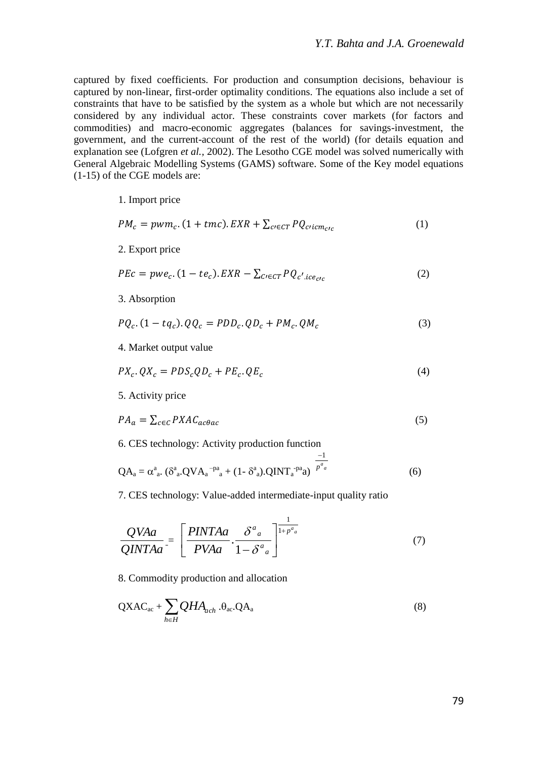captured by fixed coefficients. For production and consumption decisions, behaviour is captured by non-linear, first-order optimality conditions. The equations also include a set of constraints that have to be satisfied by the system as a whole but which are not necessarily considered by any individual actor. These constraints cover markets (for factors and commodities) and macro-economic aggregates (balances for savings-investment, the government, and the current-account of the rest of the world) (for details equation and explanation see (Lofgren *et al.,* 2002). The Lesotho CGE model was solved numerically with General Algebraic Modelling Systems (GAMS) software. Some of the Key model equations (1-15) of the CGE models are:

1. Import price

$$
PM_c = pwm_c. (1 + tmc). EXP + \sum_{c \in CT} PQ_{cicm_{c/c}} \tag{1}
$$

2. Export price

$$
PEC = pwe_c. (1 - te_c). EXP - \sum_{C \in CT} PQ_{c'ice_{ctc}} \tag{2}
$$

3. Absorption

$$
PQ_c. (1 - tq_c). QQ_c = PDD_c. QD_c + PM_c. QM_c \tag{3}
$$

4. Market output value

$$
PX_c. \, QX_c = PDS_c QD_c + PE_c. \, QE_c \tag{4}
$$

5. Activity price

$$
PA_a = \sum_{c \in C} PXAC_{ac\theta ac} \tag{5}
$$

6. CES technology: Activity production function

$$
QA_a = \alpha^a{}_a. (\delta^a{}_a. QVA_a^{-pa}{}_a + (1 - \delta^a{}_a). QINT_a^{-pa}a) \overline{p^a{}_a}^a
$$
 (6)

 $-1$ 

7. CES technology: Value-added intermediate-input quality ratio

$$
\frac{QVAa}{QINTAa} = \left[\frac{PINTAa}{PVAa} \cdot \frac{\delta^a{}_a}{1 - \delta^a{}_a}\right]^{\frac{1}{1 + p^a{}_a}}\tag{7}
$$

8. Commodity production and allocation

$$
QXAC_{ac} + \sum_{h \in H} QHA_{ach} \cdot \theta_{ac} \cdot QA_a
$$
 (8)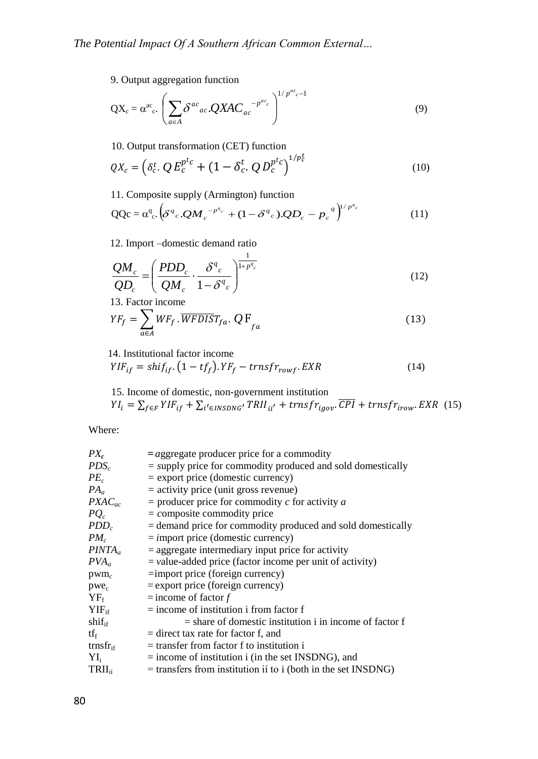9. Output aggregation function

$$
QX_c = \alpha^{ac} C_c \left( \sum_{a \in A} \delta^{ac}{}_{ac} QXAC_{ac}^{-p^{ac}c} \right)^{1/p^{ac}c-1}
$$
\n(9)

10. Output transformation (CET) function

$$
QX_c = \left(\delta_c^t \cdot Q E_c^{p^t c} + (1 - \delta_c^t \cdot Q D_c^{p^t c}\right)^{1/p_c^t}
$$
 (10)

⁄

11. Composite supply (Armington) function

$$
QQc = \alpha^q_c \cdot (\delta^q c \cdot Q M_c^{-p^q c} + (1 - \delta^q c) \cdot Q D_c - p_c^{-q})^{1/p^q c}
$$
(11)

12. Import –domestic demand ratio

$$
\frac{QM_c}{QD_c} = \left(\frac{PDD_c}{QM_c} \cdot \frac{\delta^q_c}{1 - \delta^q_c}\right)^{\frac{1}{1 + p^q_c}}
$$
\n(12)

13. Factor income

$$
YF_f = \sum_{a \in A} WF_f \cdot \overline{WFDIS} T_{fa} \cdot Q \, F_{fa} \tag{13}
$$

14. Institutional factor income

$$
YIF_{if} = shift_{if} \cdot (1 - tf_f) \cdot YF_f - trnsfr_{rowf} \cdot EXP
$$
 (14)

15. Income of domestic, non-government institution  
\n
$$
YI_i = \sum_{f \in F} YIF_{if} + \sum_{i' \in INSDNG'} TRII_{ii'} + trnsfr_{igov} \cdot \overline{CPI} + trnsfr_{irow} \cdot EXP \quad (15)
$$

Where:

| $PX_c$                      | $=$ aggregate producer price for a commodity                    |
|-----------------------------|-----------------------------------------------------------------|
| $PDS_c$                     | $=$ supply price for commodity produced and sold domestically   |
| $PE_c$                      | $=$ export price (domestic currency)                            |
| $PA_a$                      | $=$ activity price (unit gross revenue)                         |
| $PXAC_{ac}$                 | $=$ producer price for commodity c for activity a               |
| $PO_c$                      | $=$ composite commodity price                                   |
| $PDD_c$                     | $=$ demand price for commodity produced and sold domestically   |
| $PM_c$                      | $=$ import price (domestic currency)                            |
| $PINTA_a$                   | $=$ aggregate intermediary input price for activity             |
| $PVA_a$                     | $=$ value-added price (factor income per unit of activity)      |
| $\text{pwm}_c$              | $=$ import price (foreign currency)                             |
| $pwe_c$                     | $=$ export price (foreign currency)                             |
| $YF_f$                      | $=$ income of factor f                                          |
| $YIF_{if}$                  | $=$ income of institution i from factor f                       |
| $\text{shift}_{if}$         | $=$ share of domestic institution i in income of factor f       |
| tfe                         | $=$ direct tax rate for factor f, and                           |
| $\text{trnsfr}_{\text{if}}$ | $=$ transfer from factor f to institution i                     |
| $Y_{i}$                     | $=$ income of institution i (in the set INSDNG), and            |
| $TRII_{ii}$                 | $=$ transfers from institution if to i (both in the set INSDNG) |
|                             |                                                                 |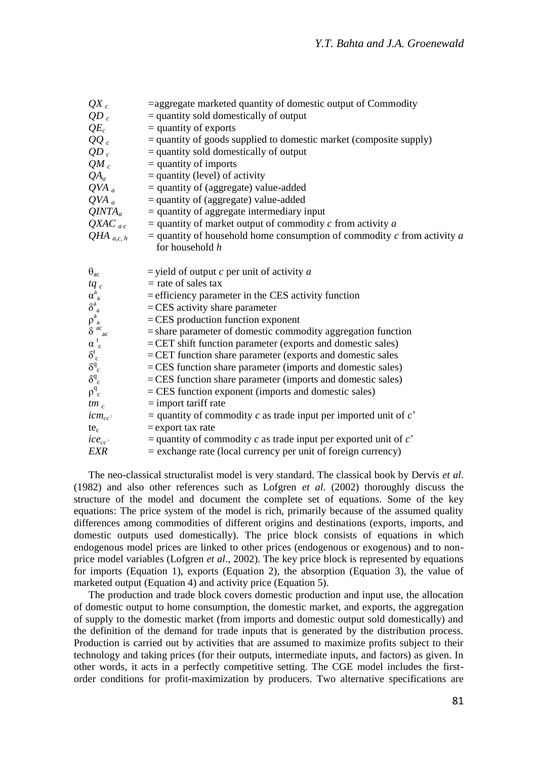| $QX_c$                                             | $=$ aggregate marketed quantity of domestic output of Commodity               |
|----------------------------------------------------|-------------------------------------------------------------------------------|
| $QD_c$                                             | $=$ quantity sold domestically of output                                      |
| $QE_c$                                             | $=$ quantity of exports                                                       |
| $QQ_c$                                             | $=$ quantity of goods supplied to domestic market (composite supply)          |
| $QD_c$                                             | $=$ quantity sold domestically of output                                      |
| $QM_c$                                             | $=$ quantity of imports                                                       |
| $QA_a$                                             | $=$ quantity (level) of activity                                              |
| $QVA$ <sub>a</sub>                                 | $=$ quantity of (aggregate) value-added                                       |
| $QVA$ <sub>a</sub>                                 | $=$ quantity of (aggregate) value-added                                       |
| $QINTA_a$                                          | $=$ quantity of aggregate intermediary input                                  |
| $QXAC_{ac}$                                        | $=$ quantity of market output of commodity $c$ from activity $a$              |
| QHA $_{a,c, h}$                                    | $=$ quantity of household home consumption of commodity $c$ from activity $a$ |
|                                                    | for household h                                                               |
|                                                    |                                                                               |
| $\theta_{ac}$                                      | $=$ yield of output c per unit of activity a                                  |
| $tq_c$                                             | $=$ rate of sales tax                                                         |
| $\bar{\alpha}_a^a$                                 | $=$ efficiency parameter in the CES activity function                         |
| $\delta^a_{\ a}$                                   | $=$ CES activity share parameter                                              |
| $\rho_{a}^{a}$ $\delta_{ac}^{ac}$ $\alpha_{c}^{t}$ | $=$ CES production function exponent                                          |
|                                                    | $=$ share parameter of domestic commodity aggregation function                |
|                                                    | $=$ CET shift function parameter (exports and domestic sales)                 |
| $\delta_{c}^{t}$                                   | = CET function share parameter (exports and domestic sales                    |
| $\delta^q_c$                                       | = CES function share parameter (imports and domestic sales)                   |
| $\delta^q_c$                                       | $=$ CES function share parameter (imports and domestic sales)                 |
| $\rho^q$ <sub>c</sub>                              | $=$ CES function exponent (imports and domestic sales)                        |
| $tm_c$                                             | $=$ import tariff rate                                                        |
| $icm_{cc}$                                         | = quantity of commodity c as trade input per imported unit of $c^2$           |
| $te_c$                                             | $=$ export tax rate                                                           |
| $ice_{cc}$                                         | = quantity of commodity c as trade input per exported unit of $c^2$           |
| <b>EXR</b>                                         | $=$ exchange rate (local currency per unit of foreign currency)               |

The neo-classical structuralist model is very standard. The classical book by Dervis *et al*. (1982) and also other references such as Lofgren *et al*. (2002) thoroughly discuss the structure of the model and document the complete set of equations. Some of the key equations: The price system of the model is rich, primarily because of the assumed quality differences among commodities of different origins and destinations (exports, imports, and domestic outputs used domestically). The price block consists of equations in which endogenous model prices are linked to other prices (endogenous or exogenous) and to nonprice model variables (Lofgren *et al*., 2002). The key price block is represented by equations for imports (Equation 1), exports (Equation 2), the absorption (Equation 3), the value of marketed output (Equation 4) and activity price (Equation 5).

The production and trade block covers domestic production and input use, the allocation of domestic output to home consumption, the domestic market, and exports, the aggregation of supply to the domestic market (from imports and domestic output sold domestically) and the definition of the demand for trade inputs that is generated by the distribution process. Production is carried out by activities that are assumed to maximize profits subject to their technology and taking prices (for their outputs, intermediate inputs, and factors) as given. In other words, it acts in a perfectly competitive setting. The CGE model includes the firstorder conditions for profit-maximization by producers. Two alternative specifications are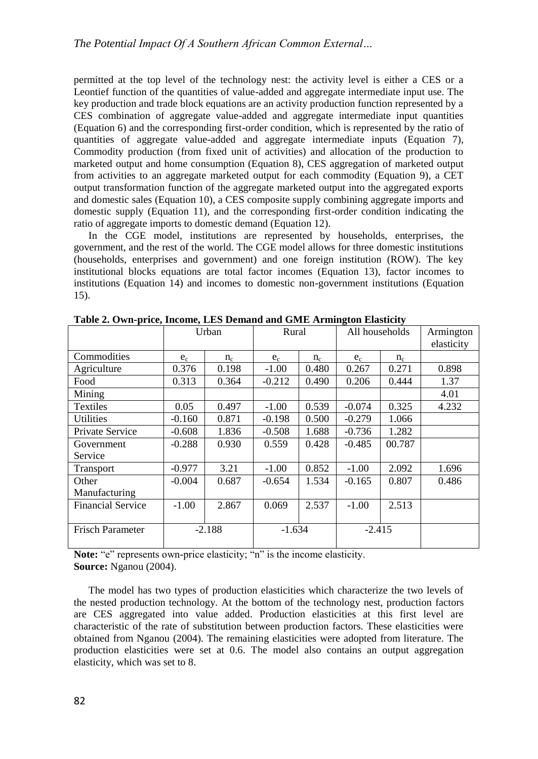permitted at the top level of the technology nest: the activity level is either a CES or a Leontief function of the quantities of value-added and aggregate intermediate input use. The key production and trade block equations are an activity production function represented by a CES combination of aggregate value-added and aggregate intermediate input quantities (Equation 6) and the corresponding first-order condition, which is represented by the ratio of quantities of aggregate value-added and aggregate intermediate inputs (Equation 7), Commodity production (from fixed unit of activities) and allocation of the production to marketed output and home consumption (Equation 8), CES aggregation of marketed output from activities to an aggregate marketed output for each commodity (Equation 9), a CET output transformation function of the aggregate marketed output into the aggregated exports and domestic sales (Equation 10), a CES composite supply combining aggregate imports and domestic supply (Equation 11), and the corresponding first-order condition indicating the ratio of aggregate imports to domestic demand (Equation 12).

In the CGE model, institutions are represented by households, enterprises, the government, and the rest of the world. The CGE model allows for three domestic institutions (households, enterprises and government) and one foreign institution (ROW). The key institutional blocks equations are total factor incomes (Equation 13), factor incomes to institutions (Equation 14) and incomes to domestic non-government institutions (Equation 15).

|                          |          | Urban | Rural    |       | All households |        | Armington  |
|--------------------------|----------|-------|----------|-------|----------------|--------|------------|
|                          |          |       |          |       |                |        | elasticity |
| Commodities              | $e_c$    | $n_c$ | $e_c$    | $n_c$ | $e_c$          | $n_c$  |            |
| Agriculture              | 0.376    | 0.198 | $-1.00$  | 0.480 | 0.267          | 0.271  | 0.898      |
| Food                     | 0.313    | 0.364 | $-0.212$ | 0.490 | 0.206          | 0.444  | 1.37       |
| Mining                   |          |       |          |       |                |        | 4.01       |
| Textiles                 | 0.05     | 0.497 | $-1.00$  | 0.539 | $-0.074$       | 0.325  | 4.232      |
| <b>Utilities</b>         | $-0.160$ | 0.871 | $-0.198$ | 0.500 | $-0.279$       | 1.066  |            |
| Private Service          | $-0.608$ | 1.836 | $-0.508$ | 1.688 | $-0.736$       | 1.282  |            |
| Government               | $-0.288$ | 0.930 | 0.559    | 0.428 | $-0.485$       | 00.787 |            |
| Service                  |          |       |          |       |                |        |            |
| Transport                | $-0.977$ | 3.21  | $-1.00$  | 0.852 | $-1.00$        | 2.092  | 1.696      |
| Other                    | $-0.004$ | 0.687 | $-0.654$ | 1.534 | $-0.165$       | 0.807  | 0.486      |
| Manufacturing            |          |       |          |       |                |        |            |
| <b>Financial Service</b> | $-1.00$  | 2.867 | 0.069    | 2.537 | $-1.00$        | 2.513  |            |
|                          |          |       |          |       |                |        |            |
| <b>Frisch Parameter</b>  | $-2.188$ |       | $-1.634$ |       | $-2.415$       |        |            |
|                          |          |       |          |       |                |        |            |

**Table 2. Own-price, Income, LES Demand and GME Armington Elasticity**

**Note:** "e" represents own-price elasticity; "n" is the income elasticity. **Source:** Nganou (2004).

The model has two types of production elasticities which characterize the two levels of the nested production technology. At the bottom of the technology nest, production factors are CES aggregated into value added. Production elasticities at this first level are characteristic of the rate of substitution between production factors. These elasticities were obtained from Nganou (2004). The remaining elasticities were adopted from literature. The production elasticities were set at 0.6. The model also contains an output aggregation elasticity, which was set to 8.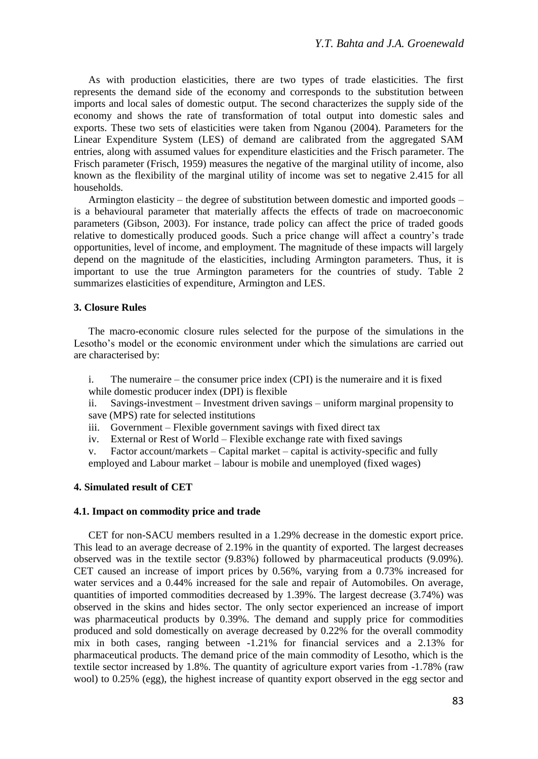As with production elasticities, there are two types of trade elasticities. The first represents the demand side of the economy and corresponds to the substitution between imports and local sales of domestic output. The second characterizes the supply side of the economy and shows the rate of transformation of total output into domestic sales and exports. These two sets of elasticities were taken from Nganou (2004). Parameters for the Linear Expenditure System (LES) of demand are calibrated from the aggregated SAM entries, along with assumed values for expenditure elasticities and the Frisch parameter. The Frisch parameter (Frisch, 1959) measures the negative of the marginal utility of income, also known as the flexibility of the marginal utility of income was set to negative 2.415 for all households.

Armington elasticity – the degree of substitution between domestic and imported goods – is a behavioural parameter that materially affects the effects of trade on macroeconomic parameters (Gibson, 2003). For instance, trade policy can affect the price of traded goods relative to domestically produced goods. Such a price change will affect a country's trade opportunities, level of income, and employment. The magnitude of these impacts will largely depend on the magnitude of the elasticities, including Armington parameters. Thus, it is important to use the true Armington parameters for the countries of study. Table 2 summarizes elasticities of expenditure, Armington and LES.

# **3. Closure Rules**

The macro-economic closure rules selected for the purpose of the simulations in the Lesotho's model or the economic environment under which the simulations are carried out are characterised by:

i. The numeraire – the consumer price index (CPI) is the numeraire and it is fixed while domestic producer index (DPI) is flexible

ii. Savings-investment – Investment driven savings – uniform marginal propensity to save (MPS) rate for selected institutions

iii. Government – Flexible government savings with fixed direct tax

iv. External or Rest of World – Flexible exchange rate with fixed savings

v. Factor account/markets – Capital market – capital is activity-specific and fully employed and Labour market – labour is mobile and unemployed (fixed wages)

### **4. Simulated result of CET**

### **4.1. Impact on commodity price and trade**

CET for non-SACU members resulted in a 1.29% decrease in the domestic export price. This lead to an average decrease of 2.19% in the quantity of exported. The largest decreases observed was in the textile sector (9.83%) followed by pharmaceutical products (9.09%). CET caused an increase of import prices by 0.56%, varying from a 0.73% increased for water services and a 0.44% increased for the sale and repair of Automobiles. On average, quantities of imported commodities decreased by 1.39%. The largest decrease (3.74%) was observed in the skins and hides sector. The only sector experienced an increase of import was pharmaceutical products by 0.39%. The demand and supply price for commodities produced and sold domestically on average decreased by 0.22% for the overall commodity mix in both cases, ranging between -1.21% for financial services and a 2.13% for pharmaceutical products. The demand price of the main commodity of Lesotho, which is the textile sector increased by 1.8%. The quantity of agriculture export varies from -1.78% (raw wool) to 0.25% (egg), the highest increase of quantity export observed in the egg sector and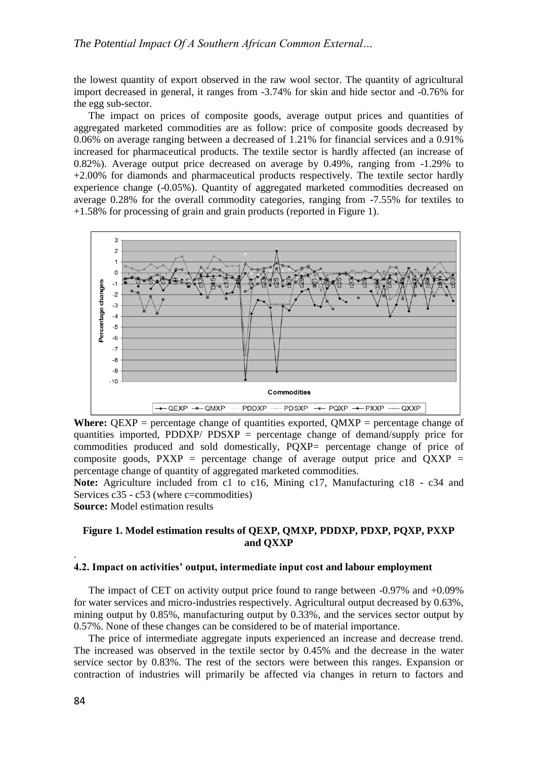the lowest quantity of export observed in the raw wool sector. The quantity of agricultural import decreased in general, it ranges from -3.74% for skin and hide sector and -0.76% for the egg sub-sector.

The impact on prices of composite goods, average output prices and quantities of aggregated marketed commodities are as follow: price of composite goods decreased by 0.06% on average ranging between a decreased of 1.21% for financial services and a 0.91% increased for pharmaceutical products. The textile sector is hardly affected (an increase of 0.82%). Average output price decreased on average by 0.49%, ranging from -1.29% to +2.00% for diamonds and pharmaceutical products respectively. The textile sector hardly experience change (-0.05%). Quantity of aggregated marketed commodities decreased on average 0.28% for the overall commodity categories, ranging from -7.55% for textiles to +1.58% for processing of grain and grain products (reported in Figure 1).



**Where:**  $QEXP$  = percentage change of quantities exported,  $QMXP$  = percentage change of quantities imported, PDDXP/  $PDSXP =$  percentage change of demand/supply price for commodities produced and sold domestically, PQXP= percentage change of price of composite goods,  $PXXP$  = percentage change of average output price and  $QXXP$  = percentage change of quantity of aggregated marketed commodities.

**Note:** Agriculture included from c1 to c16, Mining c17, Manufacturing c18 - c34 and Services c35 - c53 (where c=commodities)

**Source:** Model estimation results

# **Figure 1. Model estimation results of QEXP, QMXP, PDDXP, PDXP, PQXP, PXXP and QXXP**

### **4.2. Impact on activities' output, intermediate input cost and labour employment**

The impact of CET on activity output price found to range between -0.97% and +0.09% for water services and micro-industries respectively. Agricultural output decreased by 0.63%, mining output by 0.85%, manufacturing output by 0.33%, and the services sector output by 0.57%. None of these changes can be considered to be of material importance.

The price of intermediate aggregate inputs experienced an increase and decrease trend. The increased was observed in the textile sector by 0.45% and the decrease in the water service sector by 0.83%. The rest of the sectors were between this ranges. Expansion or contraction of industries will primarily be affected via changes in return to factors and

.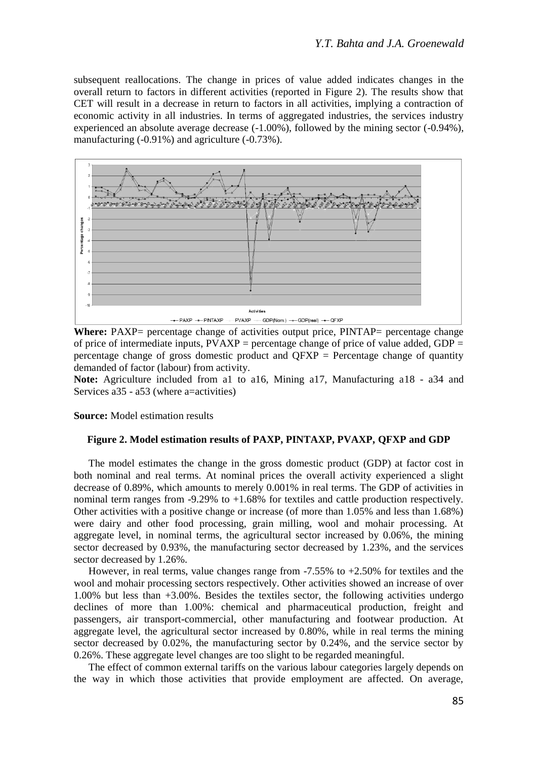subsequent reallocations. The change in prices of value added indicates changes in the overall return to factors in different activities (reported in Figure 2). The results show that CET will result in a decrease in return to factors in all activities, implying a contraction of economic activity in all industries. In terms of aggregated industries, the services industry experienced an absolute average decrease (-1.00%), followed by the mining sector (-0.94%), manufacturing (-0.91%) and agriculture (-0.73%).



**Where:** PAXP= percentage change of activities output price, PINTAP= percentage change of price of intermediate inputs,  $PVAXP =$  percentage change of price of value added,  $GDP =$ percentage change of gross domestic product and QFXP = Percentage change of quantity demanded of factor (labour) from activity.

**Note:** Agriculture included from a1 to a16, Mining a17, Manufacturing a18 - a34 and Services a35 - a53 (where a=activities)

**Source:** Model estimation results

### **Figure 2. Model estimation results of PAXP, PINTAXP, PVAXP, QFXP and GDP**

The model estimates the change in the gross domestic product (GDP) at factor cost in both nominal and real terms. At nominal prices the overall activity experienced a slight decrease of 0.89%, which amounts to merely 0.001% in real terms. The GDP of activities in nominal term ranges from -9.29% to +1.68% for textiles and cattle production respectively. Other activities with a positive change or increase (of more than 1.05% and less than 1.68%) were dairy and other food processing, grain milling, wool and mohair processing. At aggregate level, in nominal terms, the agricultural sector increased by 0.06%, the mining sector decreased by 0.93%, the manufacturing sector decreased by 1.23%, and the services sector decreased by 1.26%.

However, in real terms, value changes range from -7.55% to +2.50% for textiles and the wool and mohair processing sectors respectively. Other activities showed an increase of over 1.00% but less than +3.00%. Besides the textiles sector, the following activities undergo declines of more than 1.00%: chemical and pharmaceutical production, freight and passengers, air transport-commercial, other manufacturing and footwear production. At aggregate level, the agricultural sector increased by 0.80%, while in real terms the mining sector decreased by 0.02%, the manufacturing sector by 0.24%, and the service sector by 0.26%. These aggregate level changes are too slight to be regarded meaningful.

The effect of common external tariffs on the various labour categories largely depends on the way in which those activities that provide employment are affected. On average,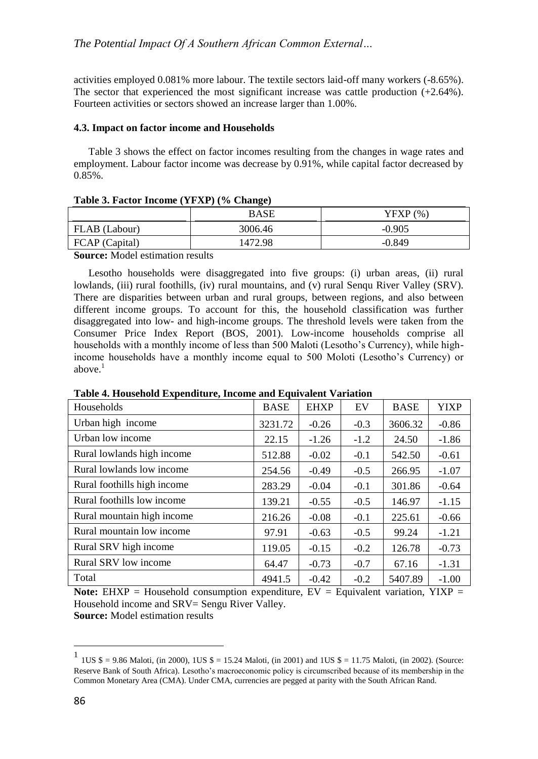activities employed 0.081% more labour. The textile sectors laid-off many workers (-8.65%). The sector that experienced the most significant increase was cattle production  $(+2.64\%)$ . Fourteen activities or sectors showed an increase larger than 1.00%.

## **4.3. Impact on factor income and Households**

Table 3 shows the effect on factor incomes resulting from the changes in wage rates and employment. Labour factor income was decrease by 0.91%, while capital factor decreased by 0.85%.

|                | BASE    | YFXP (%) |
|----------------|---------|----------|
| FLAB (Labour)  | 3006.46 | $-0.905$ |
| FCAP (Capital) | 1472.98 | $-0.849$ |

### **Table 3. Factor Income (YFXP) (% Change)**

**Source:** Model estimation results

Lesotho households were disaggregated into five groups: (i) urban areas, (ii) rural lowlands, (iii) rural foothills, (iv) rural mountains, and (v) rural Sengu River Valley (SRV). There are disparities between urban and rural groups, between regions, and also between different income groups. To account for this, the household classification was further disaggregated into low- and high-income groups. The threshold levels were taken from the Consumer Price Index Report (BOS, 2001). Low-income households comprise all households with a monthly income of less than 500 Maloti (Lesotho's Currency), while highincome households have a monthly income equal to 500 Moloti (Lesotho's Currency) or above. $<sup>1</sup>$ </sup>

| Households                  | <b>BASE</b> | <b>EHXP</b> | EV     | <b>BASE</b> | <b>YIXP</b> |
|-----------------------------|-------------|-------------|--------|-------------|-------------|
| Urban high income           | 3231.72     | $-0.26$     | $-0.3$ | 3606.32     | $-0.86$     |
| Urban low income            | 22.15       | $-1.26$     | $-1.2$ | 24.50       | $-1.86$     |
| Rural lowlands high income  | 512.88      | $-0.02$     | $-0.1$ | 542.50      | $-0.61$     |
| Rural lowlands low income   | 254.56      | $-0.49$     | $-0.5$ | 266.95      | $-1.07$     |
| Rural foothills high income | 283.29      | $-0.04$     | $-0.1$ | 301.86      | $-0.64$     |
| Rural foothills low income  | 139.21      | $-0.55$     | $-0.5$ | 146.97      | $-1.15$     |
| Rural mountain high income  | 216.26      | $-0.08$     | $-0.1$ | 225.61      | $-0.66$     |
| Rural mountain low income   | 97.91       | $-0.63$     | $-0.5$ | 99.24       | $-1.21$     |
| Rural SRV high income       | 119.05      | $-0.15$     | $-0.2$ | 126.78      | $-0.73$     |
| Rural SRV low income        | 64.47       | $-0.73$     | $-0.7$ | 67.16       | $-1.31$     |
| Total                       | 4941.5      | $-0.42$     | $-0.2$ | 5407.89     | $-1.00$     |

**Table 4. Household Expenditure, Income and Equivalent Variation**

**Note:** EHXP = Household consumption expenditure,  $EV = Equivalent$  variation,  $YIXP =$ Household income and SRV= Sengu River Valley. **Source:** Model estimation results

 $\overline{a}$ 

<sup>1</sup> 1US \$ = 9.86 Maloti, (in 2000), 1US \$ = 15.24 Maloti, (in 2001) and 1US \$ = 11.75 Maloti, (in 2002). (Source: Reserve Bank of South Africa). Lesotho's macroeconomic policy is circumscribed because of its membership in the Common Monetary Area (CMA). Under CMA, currencies are pegged at parity with the South African Rand.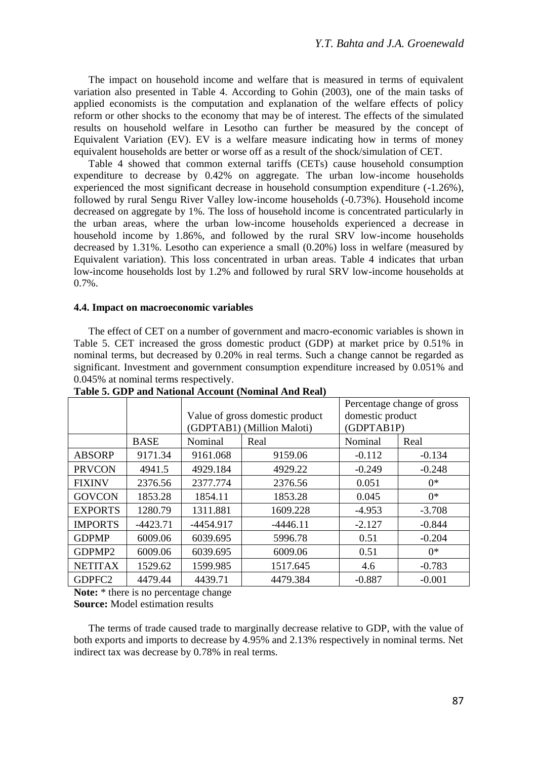The impact on household income and welfare that is measured in terms of equivalent variation also presented in Table 4. According to Gohin (2003), one of the main tasks of applied economists is the computation and explanation of the welfare effects of policy reform or other shocks to the economy that may be of interest. The effects of the simulated results on household welfare in Lesotho can further be measured by the concept of Equivalent Variation (EV). EV is a welfare measure indicating how in terms of money equivalent households are better or worse off as a result of the shock/simulation of CET.

Table 4 showed that common external tariffs (CETs) cause household consumption expenditure to decrease by 0.42% on aggregate. The urban low-income households experienced the most significant decrease in household consumption expenditure (-1.26%), followed by rural Sengu River Valley low-income households (-0.73%). Household income decreased on aggregate by 1%. The loss of household income is concentrated particularly in the urban areas, where the urban low-income households experienced a decrease in household income by 1.86%, and followed by the rural SRV low-income households decreased by 1.31%. Lesotho can experience a small (0.20%) loss in welfare (measured by Equivalent variation). This loss concentrated in urban areas. Table 4 indicates that urban low-income households lost by 1.2% and followed by rural SRV low-income households at 0.7%.

### **4.4. Impact on macroeconomic variables**

The effect of CET on a number of government and macro-economic variables is shown in Table 5. CET increased the gross domestic product (GDP) at market price by 0.51% in nominal terms, but decreased by 0.20% in real terms. Such a change cannot be regarded as significant. Investment and government consumption expenditure increased by 0.051% and 0.045% at nominal terms respectively.

|                    |             |             | Value of gross domestic product<br>(GDPTAB1) (Million Maloti) | Percentage change of gross<br>domestic product<br>(GDPTAB1P) |          |  |
|--------------------|-------------|-------------|---------------------------------------------------------------|--------------------------------------------------------------|----------|--|
|                    | <b>BASE</b> | Nominal     | Real                                                          | Nominal                                                      | Real     |  |
| <b>ABSORP</b>      | 9171.34     | 9161.068    | 9159.06                                                       | $-0.112$                                                     | $-0.134$ |  |
| <b>PRVCON</b>      | 4941.5      | 4929.184    | 4929.22                                                       | $-0.249$                                                     | $-0.248$ |  |
| <b>FIXINV</b>      | 2376.56     | 2377.774    | 2376.56                                                       | 0.051                                                        | $0*$     |  |
| <b>GOVCON</b>      | 1853.28     | 1854.11     | 1853.28                                                       | 0.045                                                        | $0*$     |  |
| <b>EXPORTS</b>     | 1280.79     | 1311.881    | 1609.228                                                      | $-4.953$                                                     | $-3.708$ |  |
| <b>IMPORTS</b>     | $-4423.71$  | $-4454.917$ | $-4446.11$                                                    | $-2.127$                                                     | $-0.844$ |  |
| <b>GDPMP</b>       | 6009.06     | 6039.695    | 5996.78                                                       | 0.51                                                         | $-0.204$ |  |
| GDPMP <sub>2</sub> | 6009.06     | 6039.695    | 6009.06                                                       | 0.51                                                         | $0*$     |  |
| <b>NETITAX</b>     | 1529.62     | 1599.985    | 1517.645                                                      | 4.6                                                          | $-0.783$ |  |
| GDPFC <sub>2</sub> | 4479.44     | 4439.71     | 4479.384                                                      | $-0.887$                                                     | $-0.001$ |  |

**Table 5. GDP and National Account (Nominal And Real)**

**Note:** \* there is no percentage change

**Source:** Model estimation results

The terms of trade caused trade to marginally decrease relative to GDP, with the value of both exports and imports to decrease by 4.95% and 2.13% respectively in nominal terms. Net indirect tax was decrease by 0.78% in real terms.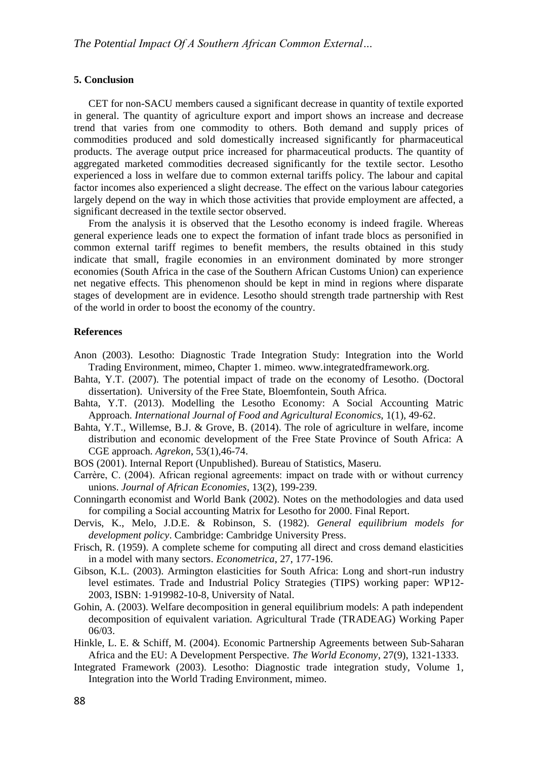#### **5. Conclusion**

CET for non-SACU members caused a significant decrease in quantity of textile exported in general. The quantity of agriculture export and import shows an increase and decrease trend that varies from one commodity to others. Both demand and supply prices of commodities produced and sold domestically increased significantly for pharmaceutical products. The average output price increased for pharmaceutical products. The quantity of aggregated marketed commodities decreased significantly for the textile sector. Lesotho experienced a loss in welfare due to common external tariffs policy. The labour and capital factor incomes also experienced a slight decrease. The effect on the various labour categories largely depend on the way in which those activities that provide employment are affected, a significant decreased in the textile sector observed.

From the analysis it is observed that the Lesotho economy is indeed fragile. Whereas general experience leads one to expect the formation of infant trade blocs as personified in common external tariff regimes to benefit members, the results obtained in this study indicate that small, fragile economies in an environment dominated by more stronger economies (South Africa in the case of the Southern African Customs Union) can experience net negative effects. This phenomenon should be kept in mind in regions where disparate stages of development are in evidence. Lesotho should strength trade partnership with Rest of the world in order to boost the economy of the country.

### **References**

- Anon (2003). Lesotho: Diagnostic Trade Integration Study: Integration into the World Trading Environment, mimeo, Chapter 1. mimeo. www.integratedframework.org.
- Bahta, Y.T. (2007). The potential impact of trade on the economy of Lesotho. (Doctoral dissertation). University of the Free State, Bloemfontein, South Africa.
- Bahta, Y.T. (2013). Modelling the Lesotho Economy: A Social Accounting Matric Approach. *International Journal of Food and Agricultural Economics*, 1(1), 49-62.
- Bahta, Y.T., Willemse, B.J. & Grove, B. (2014). The role of agriculture in welfare, income distribution and economic development of the Free State Province of South Africa: A CGE approach. *Agrekon*, 53(1),46-74.
- BOS (2001). Internal Report (Unpublished). Bureau of Statistics, Maseru.
- Carrère, C. (2004). African regional agreements: impact on trade with or without currency unions. *Journal of African Economies*, 13(2), 199-239.
- Conningarth economist and World Bank (2002). Notes on the methodologies and data used for compiling a Social accounting Matrix for Lesotho for 2000. Final Report.
- Dervis, K., Melo, J.D.E. & Robinson, S. (1982). *General equilibrium models for development policy*. Cambridge: Cambridge University Press.
- Frisch, R. (1959). A complete scheme for computing all direct and cross demand elasticities in a model with many sectors. *Econometrica*, 27, 177-196.
- Gibson, K.L. (2003). Armington elasticities for South Africa: Long and short-run industry level estimates. Trade and Industrial Policy Strategies (TIPS) working paper: WP12- 2003, ISBN: 1-919982-10-8, University of Natal.
- Gohin, A. (2003). Welfare decomposition in general equilibrium models: A path independent decomposition of equivalent variation. Agricultural Trade (TRADEAG) Working Paper 06/03.
- Hinkle, L. E. & Schiff, M. (2004). Economic Partnership Agreements between Sub‐Saharan Africa and the EU: A Development Perspective. *The World Economy*, 27(9), 1321-1333.
- Integrated Framework (2003). Lesotho: Diagnostic trade integration study, Volume 1, Integration into the World Trading Environment, mimeo.